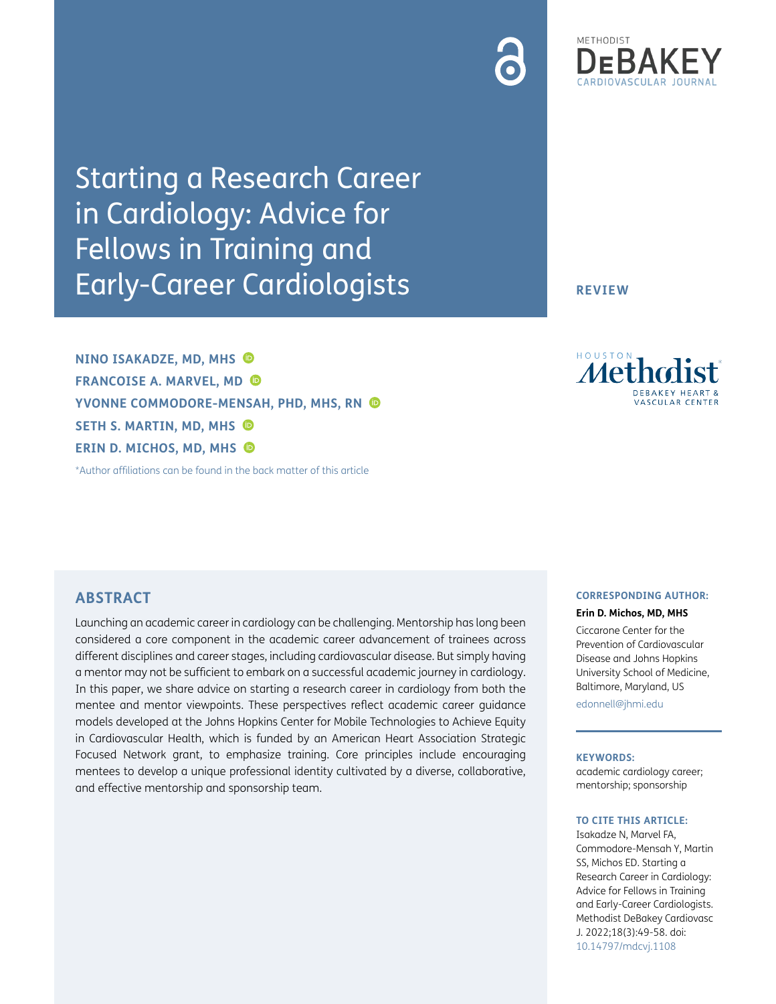Starting a Research Career in Cardiology: Advice for Fellows in Training and Early-Career Cardiologists

**NINO ISAKADZE, MD, MHS FRANCOISE A. MARVEL, MD YVONNE COMMODORE-MENSAH, PHD, MHS, RN SETH S. MARTIN, MD, MHS ERIN D. MICHOS, MD, MHS**

[\\*Author affiliations can be found in the back matter of this article](#page-7-0)

Metho

**REVIEW**

ASCULAR CENTER

# **ABSTRACT**

Launching an academic career in cardiology can be challenging. Mentorship has long been considered a core component in the academic career advancement of trainees across different disciplines and career stages, including cardiovascular disease. But simply having a mentor may not be sufficient to embark on a successful academic journey in cardiology. In this paper, we share advice on starting a research career in cardiology from both the mentee and mentor viewpoints. These perspectives reflect academic career guidance models developed at the Johns Hopkins Center for Mobile Technologies to Achieve Equity in Cardiovascular Health, which is funded by an American Heart Association Strategic Focused Network grant, to emphasize training. Core principles include encouraging mentees to develop a unique professional identity cultivated by a diverse, collaborative, and effective mentorship and sponsorship team.

### **CORRESPONDING AUTHOR:**

**Erin D. Michos, MD, MHS**

Ciccarone Center for the Prevention of Cardiovascular Disease and Johns Hopkins University School of Medicine, Baltimore, Maryland, US

[edonnell@jhmi.edu](mailto:edonnell@jhmi.edu)

#### **KEYWORDS:**

academic cardiology career; mentorship; sponsorship

#### **TO CITE THIS ARTICLE:**

Isakadze N, Marvel FA, Commodore-Mensah Y, Martin SS, Michos ED. Starting a Research Career in Cardiology: Advice for Fellows in Training and Early-Career Cardiologists. Methodist DeBakey Cardiovasc J. 2022;18(3):49-58. doi: [10.14797/mdcvj.1108](http://doi.org/10.14797/mdcvj.1108)

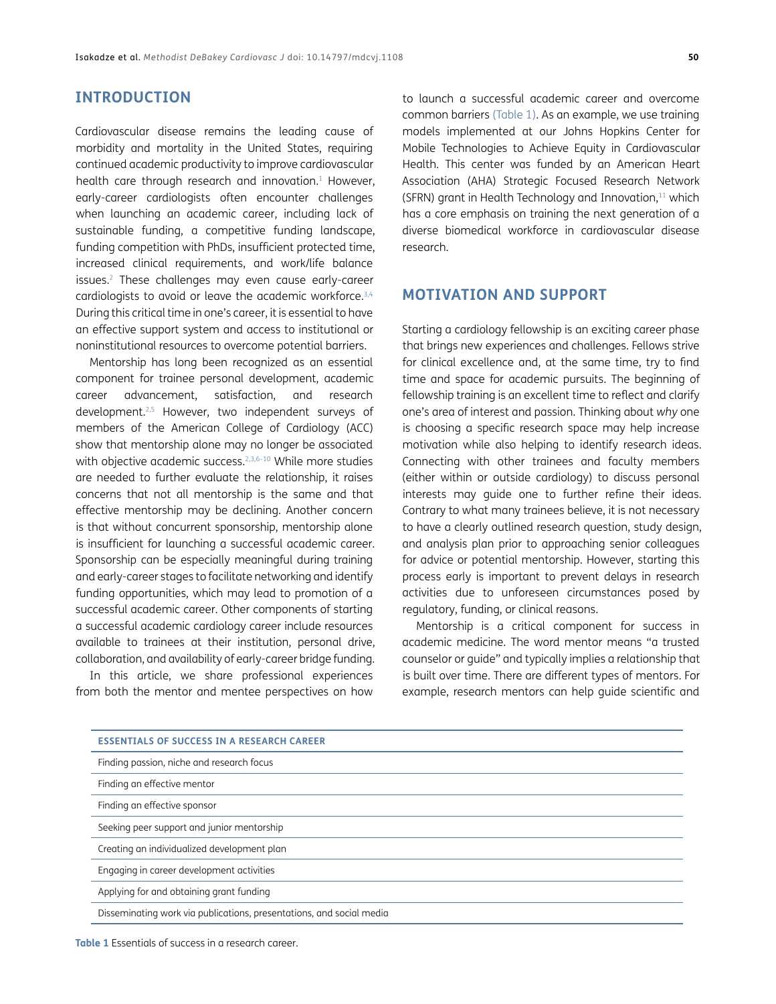## **INTRODUCTION**

Cardiovascular disease remains the leading cause of morbidity and mortality in the United States, requiring continued academic productivity to improve cardiovascular health care through research and innovation.<sup>1</sup> However, early-career cardiologists often encounter challenges when launching an academic career, including lack of sustainable funding, a competitive funding landscape, funding competition with PhDs, insufficient protected time, increased clinical requirements, and work/life balance issues[.2](#page-7-2) These challenges may even cause early-career cardiologists to avoid or leave the academic workforce[.3](#page-7-3)[,4](#page-8-0) During this critical time in one's career, it is essential to have an effective support system and access to institutional or noninstitutional resources to overcome potential barriers.

Mentorship has long been recognized as an essential component for trainee personal development, academic career advancement, satisfaction, and research development.[2](#page-7-2)[,5](#page-8-1) However, two independent surveys of members of the American College of Cardiology (ACC) show that mentorship alone may no longer be associated with objective academic success.<sup>2,[3,](#page-7-3)6-10</sup> While more studies are needed to further evaluate the relationship, it raises concerns that not all mentorship is the same and that effective mentorship may be declining. Another concern is that without concurrent sponsorship, mentorship alone is insufficient for launching a successful academic career. Sponsorship can be especially meaningful during training and early-career stages to facilitate networking and identify funding opportunities, which may lead to promotion of a successful academic career. Other components of starting a successful academic cardiology career include resources available to trainees at their institution, personal drive, collaboration, and availability of early-career bridge funding.

In this article, we share professional experiences from both the mentor and mentee perspectives on how

to launch a successful academic career and overcome common barriers ([Table 1](#page-1-0)). As an example, we use training models implemented at our Johns Hopkins Center for Mobile Technologies to Achieve Equity in Cardiovascular Health. This center was funded by an American Heart Association (AHA) Strategic Focused Research Network (SFRN) grant in Health Technology and Innovation, $11$  which has a core emphasis on training the next generation of a diverse biomedical workforce in cardiovascular disease research.

## **MOTIVATION AND SUPPORT**

Starting a cardiology fellowship is an exciting career phase that brings new experiences and challenges. Fellows strive for clinical excellence and, at the same time, try to find time and space for academic pursuits. The beginning of fellowship training is an excellent time to reflect and clarify one's area of interest and passion. Thinking about *why* one is choosing a specific research space may help increase motivation while also helping to identify research ideas. Connecting with other trainees and faculty members (either within or outside cardiology) to discuss personal interests may guide one to further refine their ideas. Contrary to what many trainees believe, it is not necessary to have a clearly outlined research question, study design, and analysis plan prior to approaching senior colleagues for advice or potential mentorship. However, starting this process early is important to prevent delays in research activities due to unforeseen circumstances posed by regulatory, funding, or clinical reasons.

Mentorship is a critical component for success in academic medicine. The word mentor means "a trusted counselor or guide" and typically implies a relationship that is built over time. There are different types of mentors. For example, research mentors can help guide scientific and

| <b>ESSENTIALS OF SUCCESS IN A RESEARCH CAREER</b>                    |
|----------------------------------------------------------------------|
| Finding passion, niche and research focus                            |
| Finding an effective mentor                                          |
| Finding an effective sponsor                                         |
| Seeking peer support and junior mentorship                           |
| Creating an individualized development plan                          |
| Engaging in career development activities                            |
| Applying for and obtaining grant funding                             |
| Disseminating work via publications, presentations, and social media |

<span id="page-1-0"></span>**Table 1** Essentials of success in a research career.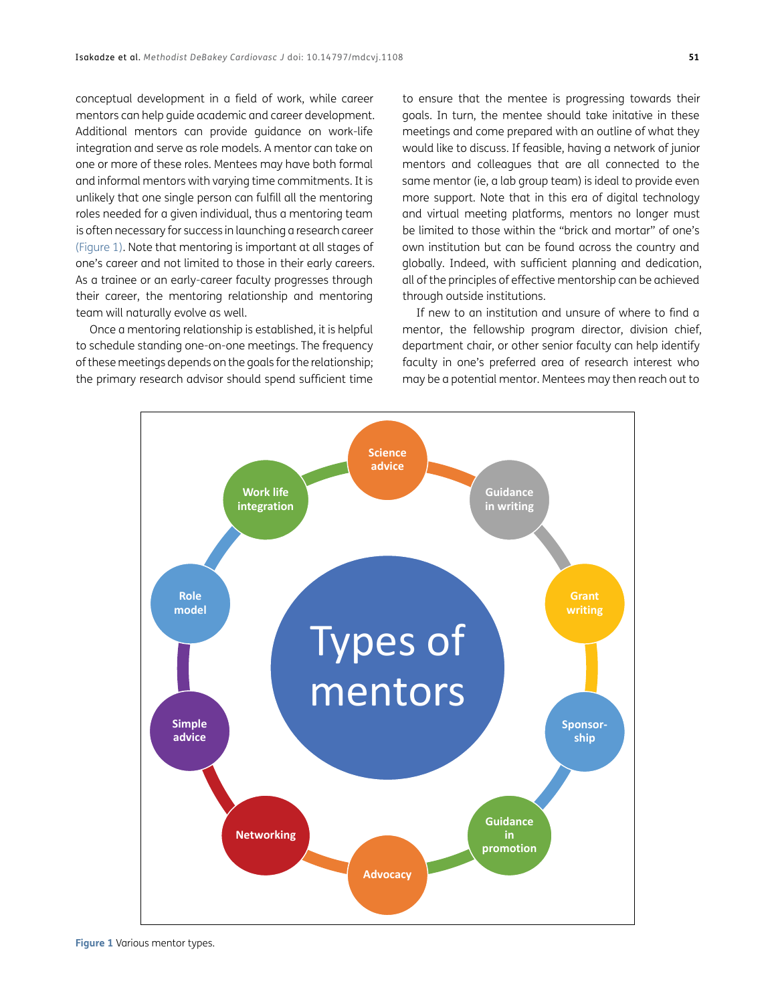conceptual development in a field of work, while career mentors can help guide academic and career development. Additional mentors can provide guidance on work-life integration and serve as role models. A mentor can take on one or more of these roles. Mentees may have both formal and informal mentors with varying time commitments. It is unlikely that one single person can fulfill all the mentoring roles needed for a given individual, thus a mentoring team is often necessary for success in launching a research career [\(Figure 1\)](#page-2-0). Note that mentoring is important at all stages of one's career and not limited to those in their early careers. As a trainee or an early-career faculty progresses through their career, the mentoring relationship and mentoring team will naturally evolve as well.

Once a mentoring relationship is established, it is helpful to schedule standing one-on-one meetings. The frequency of these meetings depends on the goals for the relationship; the primary research advisor should spend sufficient time

to ensure that the mentee is progressing towards their goals. In turn, the mentee should take initative in these meetings and come prepared with an outline of what they would like to discuss. If feasible, having a network of junior mentors and colleagues that are all connected to the same mentor (ie, a lab group team) is ideal to provide even more support. Note that in this era of digital technology and virtual meeting platforms, mentors no longer must be limited to those within the "brick and mortar" of one's own institution but can be found across the country and globally. Indeed, with sufficient planning and dedication, all of the principles of effective mentorship can be achieved through outside institutions.

If new to an institution and unsure of where to find a mentor, the fellowship program director, division chief, department chair, or other senior faculty can help identify faculty in one's preferred area of research interest who may be a potential mentor. Mentees may then reach out to

<span id="page-2-0"></span>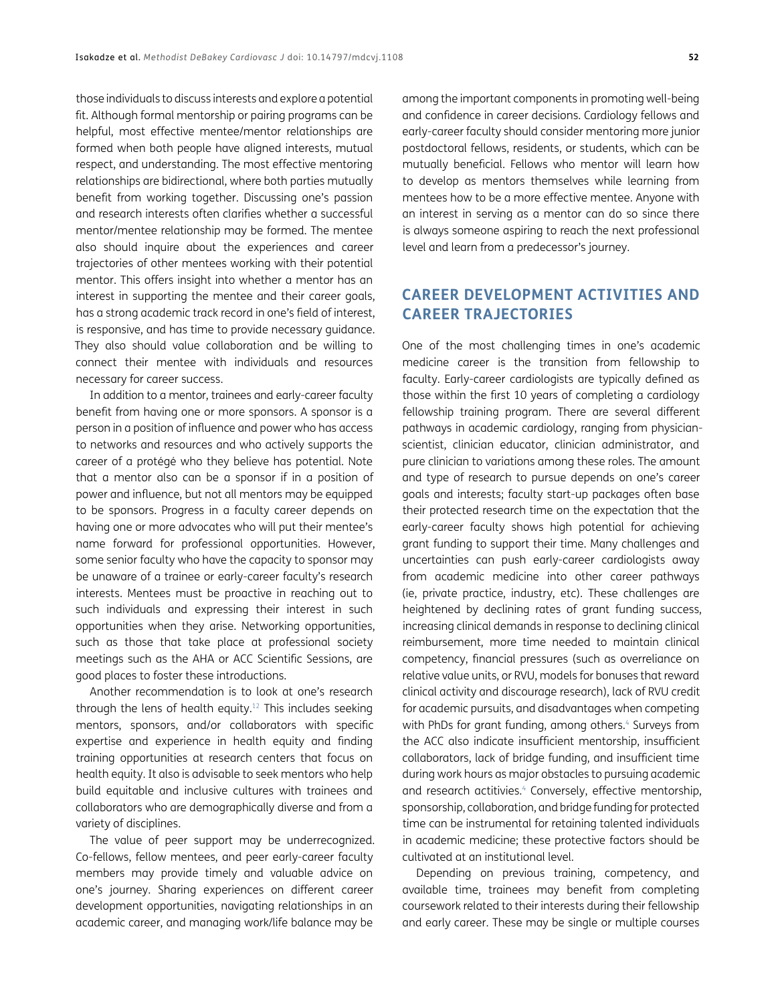those individuals to discuss interests and explore a potential fit. Although formal mentorship or pairing programs can be helpful, most effective mentee/mentor relationships are formed when both people have aligned interests, mutual respect, and understanding. The most effective mentoring relationships are bidirectional, where both parties mutually benefit from working together. Discussing one's passion and research interests often clarifies whether a successful mentor/mentee relationship may be formed. The mentee also should inquire about the experiences and career trajectories of other mentees working with their potential mentor. This offers insight into whether a mentor has an interest in supporting the mentee and their career goals, has a strong academic track record in one's field of interest, is responsive, and has time to provide necessary guidance. They also should value collaboration and be willing to connect their mentee with individuals and resources necessary for career success.

In addition to a mentor, trainees and early-career faculty benefit from having one or more sponsors. A sponsor is a person in a position of influence and power who has access to networks and resources and who actively supports the career of a protégé who they believe has potential. Note that a mentor also can be a sponsor if in a position of power and influence, but not all mentors may be equipped to be sponsors. Progress in a faculty career depends on having one or more advocates who will put their mentee's name forward for professional opportunities. However, some senior faculty who have the capacity to sponsor may be unaware of a trainee or early-career faculty's research interests. Mentees must be proactive in reaching out to such individuals and expressing their interest in such opportunities when they arise. Networking opportunities, such as those that take place at professional society meetings such as the AHA or ACC Scientific Sessions, are good places to foster these introductions.

Another recommendation is to look at one's research through the lens of health equity[.12](#page-8-5) This includes seeking mentors, sponsors, and/or collaborators with specific expertise and experience in health equity and finding training opportunities at research centers that focus on health equity. It also is advisable to seek mentors who help build equitable and inclusive cultures with trainees and collaborators who are demographically diverse and from a variety of disciplines.

The value of peer support may be underrecognized. Co-fellows, fellow mentees, and peer early-career faculty members may provide timely and valuable advice on one's journey. Sharing experiences on different career development opportunities, navigating relationships in an academic career, and managing work/life balance may be

among the important components in promoting well-being and confidence in career decisions. Cardiology fellows and early-career faculty should consider mentoring more junior postdoctoral fellows, residents, or students, which can be mutually beneficial. Fellows who mentor will learn how to develop as mentors themselves while learning from mentees how to be a more effective mentee. Anyone with an interest in serving as a mentor can do so since there is always someone aspiring to reach the next professional level and learn from a predecessor's journey.

# **CAREER DEVELOPMENT ACTIVITIES AND CAREER TRAJECTORIES**

One of the most challenging times in one's academic medicine career is the transition from fellowship to faculty. Early-career cardiologists are typically defined as those within the first 10 years of completing a cardiology fellowship training program. There are several different pathways in academic cardiology, ranging from physicianscientist, clinician educator, clinician administrator, and pure clinician to variations among these roles. The amount and type of research to pursue depends on one's career goals and interests; faculty start-up packages often base their protected research time on the expectation that the early-career faculty shows high potential for achieving grant funding to support their time. Many challenges and uncertainties can push early-career cardiologists away from academic medicine into other career pathways (ie, private practice, industry, etc). These challenges are heightened by declining rates of grant funding success, increasing clinical demands in response to declining clinical reimbursement, more time needed to maintain clinical competency, financial pressures (such as overreliance on relative value units, or RVU, models for bonuses that reward clinical activity and discourage research), lack of RVU credit for academic pursuits, and disadvantages when competing with PhDs for grant funding, among others.<sup>4</sup> Surveys from the ACC also indicate insufficient mentorship, insufficient collaborators, lack of bridge funding, and insufficient time during work hours as major obstacles to pursuing academic and research actitivies.<sup>4</sup> Conversely, effective mentorship, sponsorship, collaboration, and bridge funding for protected time can be instrumental for retaining talented individuals in academic medicine; these protective factors should be cultivated at an institutional level.

Depending on previous training, competency, and available time, trainees may benefit from completing coursework related to their interests during their fellowship and early career. These may be single or multiple courses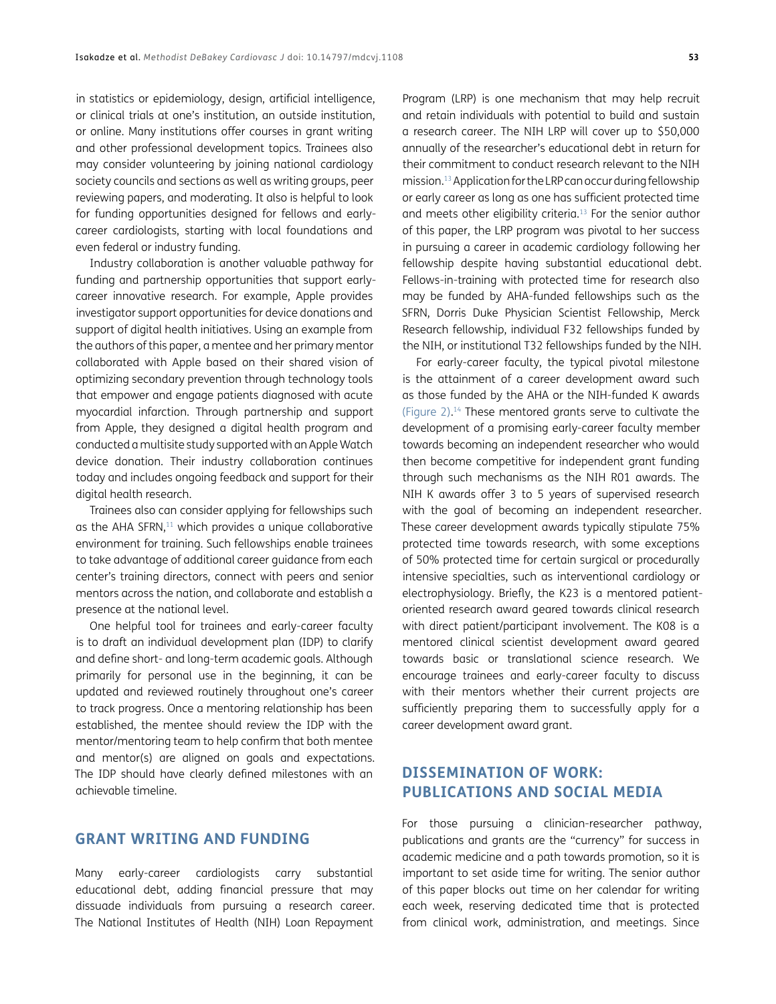in statistics or epidemiology, design, artificial intelligence, or clinical trials at one's institution, an outside institution, or online. Many institutions offer courses in grant writing and other professional development topics. Trainees also may consider volunteering by joining national cardiology society councils and sections as well as writing groups, peer reviewing papers, and moderating. It also is helpful to look for funding opportunities designed for fellows and earlycareer cardiologists, starting with local foundations and even federal or industry funding.

Industry collaboration is another valuable pathway for funding and partnership opportunities that support earlycareer innovative research. For example, Apple provides investigator support opportunities for device donations and support of digital health initiatives. Using an example from the authors of this paper, a mentee and her primary mentor collaborated with Apple based on their shared vision of optimizing secondary prevention through technology tools that empower and engage patients diagnosed with acute myocardial infarction. Through partnership and support from Apple, they designed a digital health program and conducted a multisite study supported with an Apple Watch device donation. Their industry collaboration continues today and includes ongoing feedback and support for their digital health research.

Trainees also can consider applying for fellowships such as the AHA SFRN, $11$  which provides a unique collaborative environment for training. Such fellowships enable trainees to take advantage of additional career guidance from each center's training directors, connect with peers and senior mentors across the nation, and collaborate and establish a presence at the national level.

One helpful tool for trainees and early-career faculty is to draft an individual development plan (IDP) to clarify and define short- and long-term academic goals. Although primarily for personal use in the beginning, it can be updated and reviewed routinely throughout one's career to track progress. Once a mentoring relationship has been established, the mentee should review the IDP with the mentor/mentoring team to help confirm that both mentee and mentor(s) are aligned on goals and expectations. The IDP should have clearly defined milestones with an achievable timeline.

# **GRANT WRITING AND FUNDING**

Many early-career cardiologists carry substantial educational debt, adding financial pressure that may dissuade individuals from pursuing a research career. The National Institutes of Health (NIH) Loan Repayment

Program (LRP) is one mechanism that may help recruit and retain individuals with potential to build and sustain a research career. The NIH LRP will cover up to \$50,000 annually of the researcher's educational debt in return for their commitment to conduct research relevant to the NIH mission.[13](#page-8-6) Application for the LRP can occur during fellowship or early career as long as one has sufficient protected time and meets other eligibility criteria[.13](#page-8-6) For the senior author of this paper, the LRP program was pivotal to her success in pursuing a career in academic cardiology following her fellowship despite having substantial educational debt. Fellows-in-training with protected time for research also may be funded by AHA-funded fellowships such as the SFRN, Dorris Duke Physician Scientist Fellowship, Merck Research fellowship, individual F32 fellowships funded by the NIH, or institutional T32 fellowships funded by the NIH.

For early-career faculty, the typical pivotal milestone is the attainment of a career development award such as those funded by the AHA or the NIH-funded K awards [\(Figure 2\)](#page-5-0). [14](#page-8-7) These mentored grants serve to cultivate the development of a promising early-career faculty member towards becoming an independent researcher who would then become competitive for independent grant funding through such mechanisms as the NIH R01 awards. The NIH K awards offer 3 to 5 years of supervised research with the goal of becoming an independent researcher. These career development awards typically stipulate 75% protected time towards research, with some exceptions of 50% protected time for certain surgical or procedurally intensive specialties, such as interventional cardiology or electrophysiology. Briefly, the K23 is a mentored patientoriented research award geared towards clinical research with direct patient/participant involvement. The K08 is a mentored clinical scientist development award geared towards basic or translational science research. We encourage trainees and early-career faculty to discuss with their mentors whether their current projects are sufficiently preparing them to successfully apply for a career development award grant.

# **DISSEMINATION OF WORK: PUBLICATIONS AND SOCIAL MEDIA**

For those pursuing a clinician-researcher pathway, publications and grants are the "currency" for success in academic medicine and a path towards promotion, so it is important to set aside time for writing. The senior author of this paper blocks out time on her calendar for writing each week, reserving dedicated time that is protected from clinical work, administration, and meetings. Since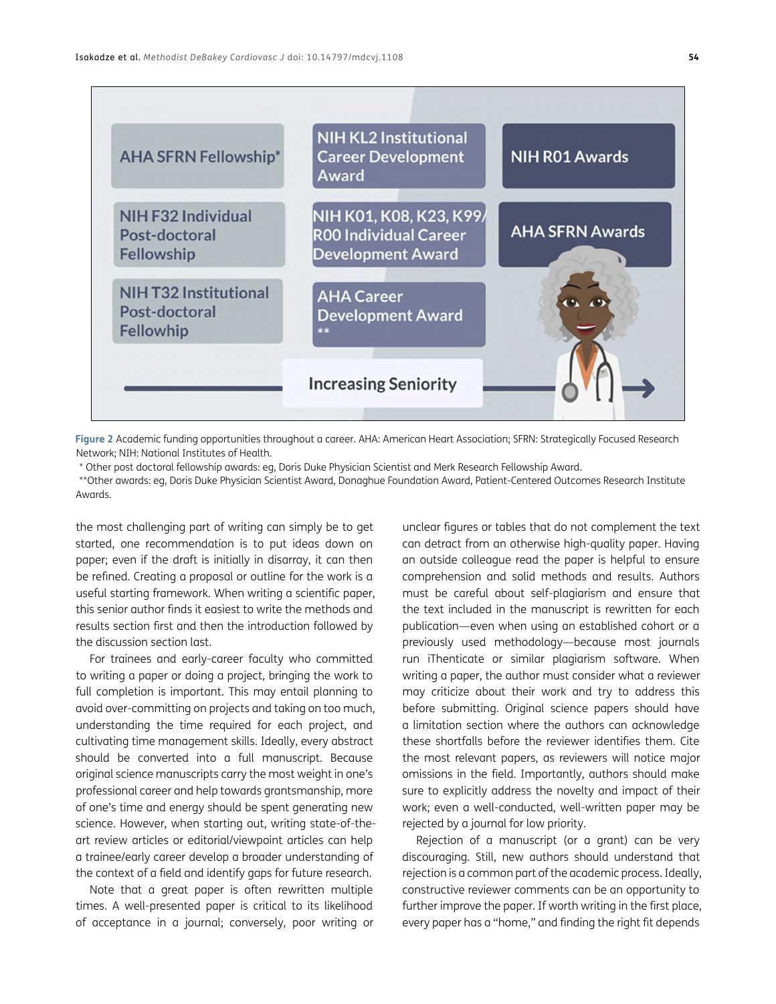

<span id="page-5-0"></span>**Figure 2** Academic funding opportunities throughout a career. AHA: American Heart Association; SFRN: Strategically Focused Research Network; NIH: National Institutes of Health.

\* Other post doctoral fellowship awards: eg, Doris Duke Physician Scientist and Merk Research Fellowship Award.

\*\*Other awards: eg, Doris Duke Physician Scientist Award, Donaghue Foundation Award, Patient-Centered Outcomes Research Institute Awards.

the most challenging part of writing can simply be to get started, one recommendation is to put ideas down on paper; even if the draft is initially in disarray, it can then be refined. Creating a proposal or outline for the work is a useful starting framework. When writing a scientific paper, this senior author finds it easiest to write the methods and results section first and then the introduction followed by the discussion section last.

For trainees and early-career faculty who committed to writing a paper or doing a project, bringing the work to full completion is important. This may entail planning to avoid over-committing on projects and taking on too much, understanding the time required for each project, and cultivating time management skills. Ideally, every abstract should be converted into a full manuscript. Because original science manuscripts carry the most weight in one's professional career and help towards grantsmanship, more of one's time and energy should be spent generating new science. However, when starting out, writing state-of-theart review articles or editorial/viewpoint articles can help a trainee/early career develop a broader understanding of the context of a field and identify gaps for future research.

Note that a great paper is often rewritten multiple times. A well-presented paper is critical to its likelihood of acceptance in a journal; conversely, poor writing or unclear figures or tables that do not complement the text can detract from an otherwise high-quality paper. Having an outside colleague read the paper is helpful to ensure comprehension and solid methods and results. Authors must be careful about self-plagiarism and ensure that the text included in the manuscript is rewritten for each publication—even when using an established cohort or a previously used methodology—because most journals run iThenticate or similar plagiarism software. When writing a paper, the author must consider what a reviewer may criticize about their work and try to address this before submitting. Original science papers should have a limitation section where the authors can acknowledge these shortfalls before the reviewer identifies them. Cite the most relevant papers, as reviewers will notice major omissions in the field. Importantly, authors should make sure to explicitly address the novelty and impact of their work; even a well-conducted, well-written paper may be rejected by a journal for low priority.

Rejection of a manuscript (or a grant) can be very discouraging. Still, new authors should understand that rejection is a common part of the academic process. Ideally, constructive reviewer comments can be an opportunity to further improve the paper. If worth writing in the first place, every paper has a "home," and finding the right fit depends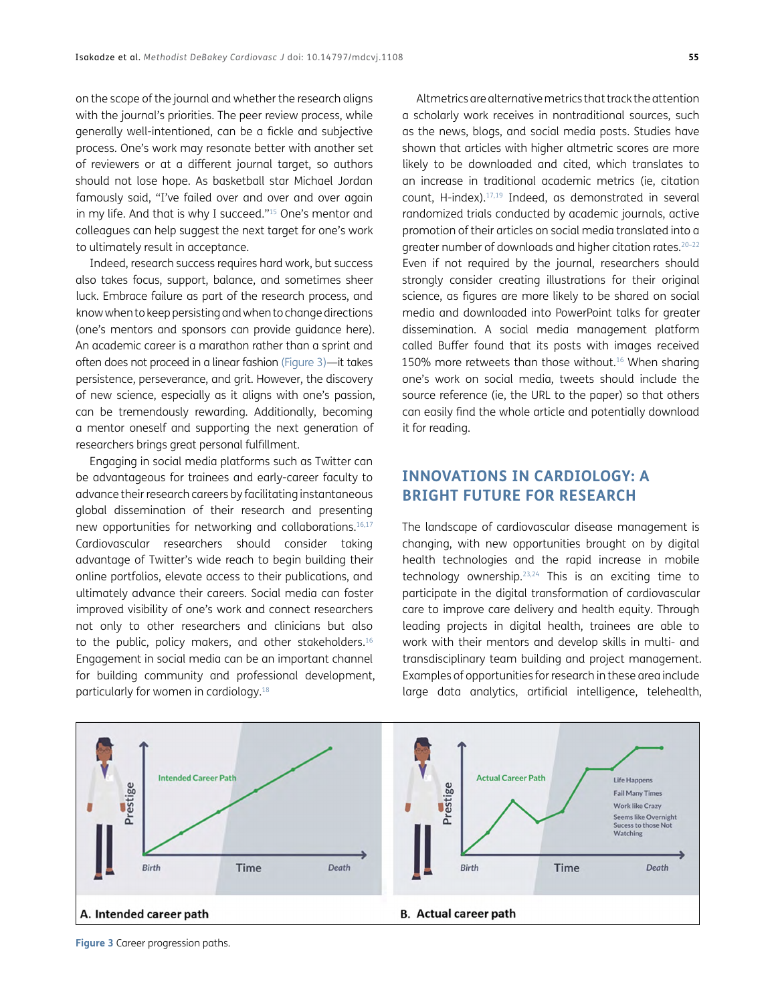on the scope of the journal and whether the research aligns with the journal's priorities. The peer review process, while generally well-intentioned, can be a fickle and subjective process. One's work may resonate better with another set of reviewers or at a different journal target, so authors should not lose hope. As basketball star Michael Jordan famously said, "I've failed over and over and over again in my life. And that is why I succeed."<sup>15</sup> One's mentor and colleagues can help suggest the next target for one's work to ultimately result in acceptance.

Indeed, research success requires hard work, but success also takes focus, support, balance, and sometimes sheer luck. Embrace failure as part of the research process, and know when to keep persisting and when to change directions (one's mentors and sponsors can provide guidance here). An academic career is a marathon rather than a sprint and often does not proceed in a linear fashion ([Figure 3\)](#page-6-0)—it takes persistence, perseverance, and grit. However, the discovery of new science, especially as it aligns with one's passion, can be tremendously rewarding. Additionally, becoming a mentor oneself and supporting the next generation of researchers brings great personal fulfillment.

Engaging in social media platforms such as Twitter can be advantageous for trainees and early-career faculty to advance their research careers by facilitating instantaneous global dissemination of their research and presenting new opportunities for networking and collaborations[.16](#page-8-8),[17](#page-8-9) Cardiovascular researchers should consider taking advantage of Twitter's wide reach to begin building their online portfolios, elevate access to their publications, and ultimately advance their careers. Social media can foster improved visibility of one's work and connect researchers not only to other researchers and clinicians but also to the public, policy makers, and other stakeholders.<sup>16</sup> Engagement in social media can be an important channel for building community and professional development, particularly for women in cardiology.[18](#page-8-10)

Altmetrics are alternative metrics that track the attention a scholarly work receives in nontraditional sources, such as the news, blogs, and social media posts. Studies have shown that articles with higher altmetric scores are more likely to be downloaded and cited, which translates to an increase in traditional academic metrics (ie, citation count, H-index).[17,](#page-8-9)[19](#page-8-11) Indeed, as demonstrated in several randomized trials conducted by academic journals, active promotion of their articles on social media translated into a greater number of downloads and higher citation rates.20[–22](#page-8-12) Even if not required by the journal, researchers should strongly consider creating illustrations for their original science, as figures are more likely to be shared on social media and downloaded into PowerPoint talks for greater dissemination. A social media management platform called Buffer found that its posts with images received 150% more retweets than those without[.16](#page-8-8) When sharing one's work on social media, tweets should include the source reference (ie, the URL to the paper) so that others can easily find the whole article and potentially download it for reading.

# **INNOVATIONS IN CARDIOLOGY: A BRIGHT FUTURE FOR RESEARCH**

The landscape of cardiovascular disease management is changing, with new opportunities brought on by digital health technologies and the rapid increase in mobile technology ownership.[23,](#page-8-13)[24](#page-8-14) This is an exciting time to participate in the digital transformation of cardiovascular care to improve care delivery and health equity. Through leading projects in digital health, trainees are able to work with their mentors and develop skills in multi- and transdisciplinary team building and project management. Examples of opportunities for research in these area include large data analytics, artificial intelligence, telehealth,



<span id="page-6-0"></span>**Figure 3** Career progression paths.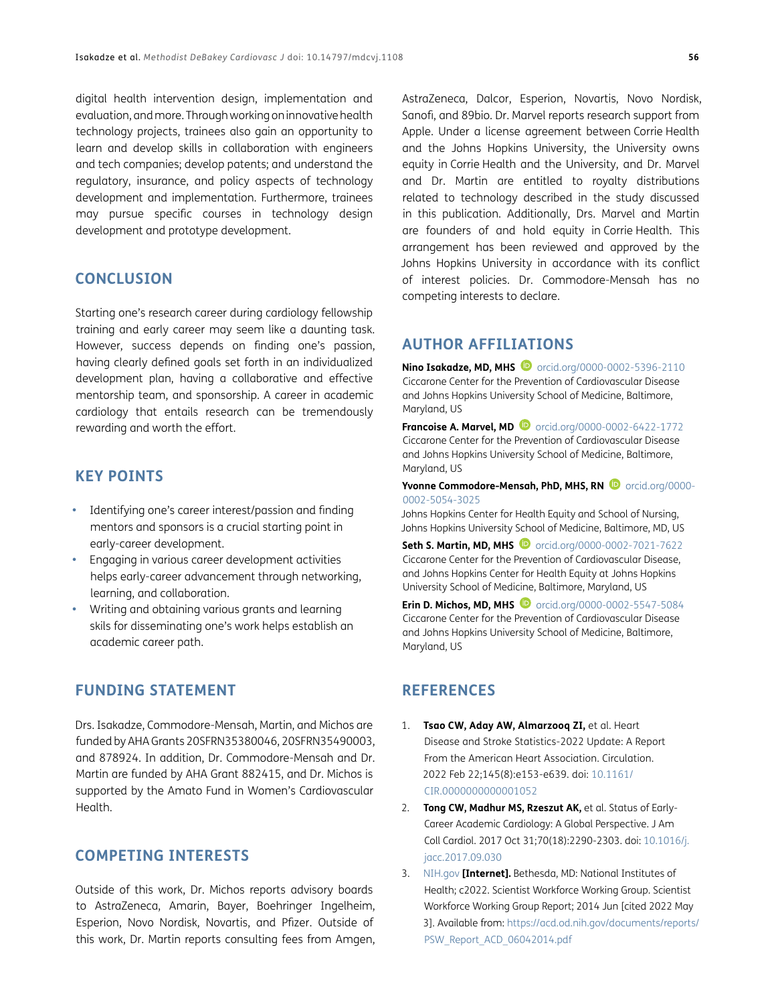digital health intervention design, implementation and evaluation, and more. Through working on innovative health technology projects, trainees also gain an opportunity to learn and develop skills in collaboration with engineers and tech companies; develop patents; and understand the regulatory, insurance, and policy aspects of technology development and implementation. Furthermore, trainees may pursue specific courses in technology design development and prototype development.

## **CONCLUSION**

Starting one's research career during cardiology fellowship training and early career may seem like a daunting task. However, success depends on finding one's passion, having clearly defined goals set forth in an individualized development plan, having a collaborative and effective mentorship team, and sponsorship. A career in academic cardiology that entails research can be tremendously rewarding and worth the effort.

# **KEY POINTS**

- **•**  Identifying one's career interest/passion and finding mentors and sponsors is a crucial starting point in early-career development.
- **Engaging in various career development activities** helps early-career advancement through networking, learning, and collaboration.
- **•**  Writing and obtaining various grants and learning skils for disseminating one's work helps establish an academic career path.

# **FUNDING STATEMENT**

Drs. Isakadze, Commodore-Mensah, Martin, and Michos are funded by AHA Grants 20SFRN35380046, 20SFRN35490003, and 878924. In addition, Dr. Commodore-Mensah and Dr. Martin are funded by AHA Grant 882415, and Dr. Michos is supported by the Amato Fund in Women's Cardiovascular Health.

## **COMPETING INTERESTS**

Outside of this work, Dr. Michos reports advisory boards to AstraZeneca, Amarin, Bayer, Boehringer Ingelheim, Esperion, Novo Nordisk, Novartis, and Pfizer. Outside of this work, Dr. Martin reports consulting fees from Amgen,

AstraZeneca, Dalcor, Esperion, Novartis, Novo Nordisk, Sanofi, and 89bio. Dr. Marvel reports research support from Apple. Under a license agreement between Corrie Health and the Johns Hopkins University, the University owns equity in Corrie Health and the University, and Dr. Marvel and Dr. Martin are entitled to royalty distributions related to technology described in the study discussed in this publication. Additionally, Drs. Marvel and Martin are founders of and hold equity in Corrie Health. This arrangement has been reviewed and approved by the Johns Hopkins University in accordance with its conflict of interest policies. Dr. Commodore-Mensah has no competing interests to declare.

## <span id="page-7-0"></span>**AUTHOR AFFILIATIONS**

**Nino Isakadze, MD, MHS D** [orcid.org/0000-0002-5396-2110](https://orcid.org/0000-0002-5396-2110
) Ciccarone Center for the Prevention of Cardiovascular Disease and Johns Hopkins University School of Medicine, Baltimore, Maryland, US

**Francoise A. Marvel, MD ©** [orcid.org/0000-0002-6422-1772](https://orcid.org/0000-0002-6422-1772
) Ciccarone Center for the Prevention of Cardiovascular Disease and Johns Hopkins University School of Medicine, Baltimore, Maryland, US

Yvonne Commodore-Mensah, PhD, MHS, RN <sup>D</sup> [orcid.org/0000-](https://orcid.org/0000-0002-5054-3025) [0002-5054-3025](https://orcid.org/0000-0002-5054-3025)

Johns Hopkins Center for Health Equity and School of Nursing, Johns Hopkins University School of Medicine, Baltimore, MD, US

**Seth S. Martin, MD, MHS**  $\bullet$  [orcid.org/0000-0002-7021-7622](https://orcid.org/0000-0002-7021-7622
) Ciccarone Center for the Prevention of Cardiovascular Disease, and Johns Hopkins Center for Health Equity at Johns Hopkins University School of Medicine, Baltimore, Maryland, US

**Erin D. Michos, MD, MHS D** [orcid.org/0000-0002-5547-5084](https://orcid.org/0000-0002-5547-5084) Ciccarone Center for the Prevention of Cardiovascular Disease and Johns Hopkins University School of Medicine, Baltimore, Maryland, US

# **REFERENCES**

- <span id="page-7-1"></span>1. **Tsao CW, Aday AW, Almarzooq ZI,** et al. Heart Disease and Stroke Statistics-2022 Update: A Report From the American Heart Association. Circulation. 2022 Feb 22;145(8):e153-e639. doi: [10.1161/](https://doi.org/10.1161/CIR.0000000000001052) [CIR.0000000000001052](https://doi.org/10.1161/CIR.0000000000001052)
- <span id="page-7-2"></span>2. **Tong CW, Madhur MS, Rzeszut AK,** et al. Status of Early-Career Academic Cardiology: A Global Perspective. J Am Coll Cardiol. 2017 Oct 31;70(18):2290-2303. doi: [10.1016/j.](https://doi.org/10.1016/j.jacc.2017.09.030) [jacc.2017.09.030](https://doi.org/10.1016/j.jacc.2017.09.030)
- <span id="page-7-3"></span>3. [NIH.gov](http://www.NIH.gov) **[Internet].** Bethesda, MD: National Institutes of Health; c2022. Scientist Workforce Working Group. Scientist Workforce Working Group Report; 2014 Jun [cited 2022 May 3]. Available from: [https://acd.od.nih.gov/documents/reports/](https://acd.od.nih.gov/documents/reports/PSW_Report_ACD_06042014.pdf) [PSW\\_Report\\_ACD\\_06042014.pdf](https://acd.od.nih.gov/documents/reports/PSW_Report_ACD_06042014.pdf)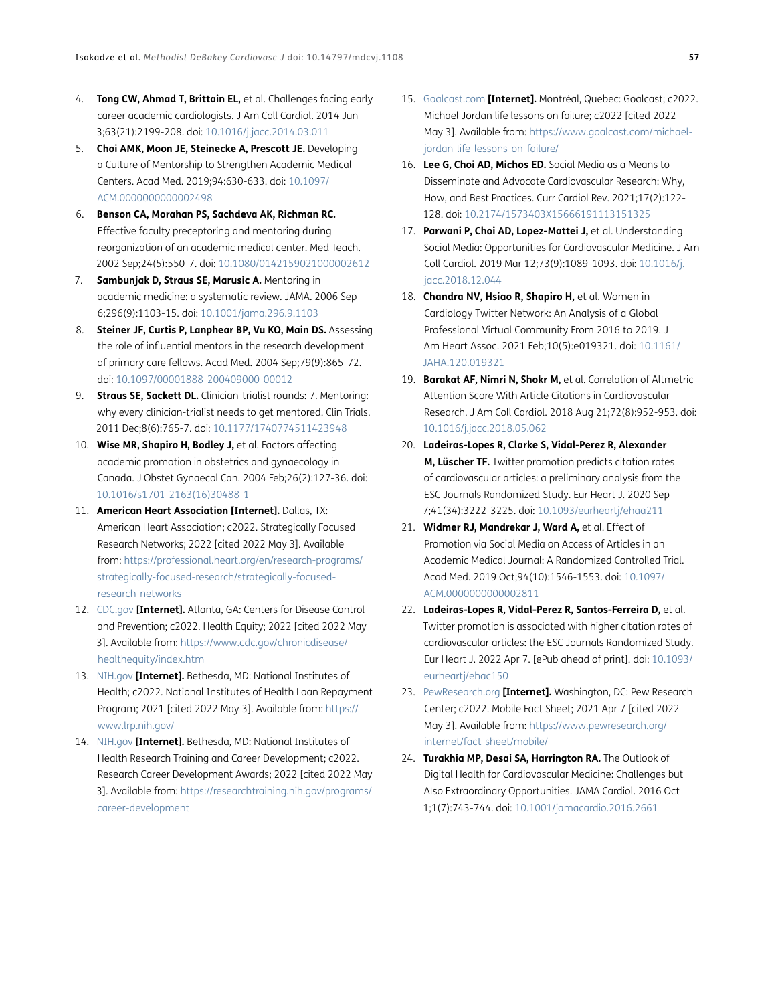- <span id="page-8-0"></span>4. **Tong CW, Ahmad T, Brittain EL,** et al. Challenges facing early career academic cardiologists. J Am Coll Cardiol. 2014 Jun 3;63(21):2199-208. doi: [10.1016/j.jacc.2014.03.011](https://doi.org/10.1016/j.jacc.2014.03.011)
- <span id="page-8-1"></span>5. **Choi AMK, Moon JE, Steinecke A, Prescott JE.** Developing a Culture of Mentorship to Strengthen Academic Medical Centers. Acad Med. 2019;94:630-633. doi: [10.1097/](https://doi.org/10.1097/ACM.0000000000002498) [ACM.0000000000002498](https://doi.org/10.1097/ACM.0000000000002498)
- <span id="page-8-2"></span>6. **Benson CA, Morahan PS, Sachdeva AK, Richman RC.** Effective faculty preceptoring and mentoring during reorganization of an academic medical center. Med Teach. 2002 Sep;24(5):550-7. doi: [10.1080/0142159021000002612](https://doi.org/10.1080/0142159021000002612)
- 7. **Sambunjak D, Straus SE, Marusic A.** Mentoring in academic medicine: a systematic review. JAMA. 2006 Sep 6;296(9):1103-15. doi: [10.1001/jama.296.9.1103](https://doi.org/10.1001/jama.296.9.1103)
- 8. **Steiner JF, Curtis P, Lanphear BP, Vu KO, Main DS.** Assessing the role of influential mentors in the research development of primary care fellows. Acad Med. 2004 Sep;79(9):865-72. doi: [10.1097/00001888-200409000-00012](https://doi.org/10.1097/00001888-200409000-00012)
- 9. **Straus SE, Sackett DL.** Clinician-trialist rounds: 7. Mentoring: why every clinician-trialist needs to get mentored. Clin Trials. 2011 Dec;8(6):765-7. doi: [10.1177/1740774511423948](https://doi.org/10.1177/1740774511423948)
- <span id="page-8-3"></span>10. **Wise MR, Shapiro H, Bodley J,** et al. Factors affecting academic promotion in obstetrics and gynaecology in Canada. J Obstet Gynaecol Can. 2004 Feb;26(2):127-36. doi: [10.1016/s1701-2163\(16\)30488-1](https://doi.org/10.1016/S1701-2163(16)30488-1)
- <span id="page-8-4"></span>11. **American Heart Association [Internet].** Dallas, TX: American Heart Association; c2022. Strategically Focused Research Networks; 2022 [cited 2022 May 3]. Available from: [https://professional.heart.org/en/research-programs/](https://professional.heart.org/en/research-programs/strategically-focused-research/strategically-focused-research-networks) [strategically-focused-research/strategically-focused](https://professional.heart.org/en/research-programs/strategically-focused-research/strategically-focused-research-networks)[research-networks](https://professional.heart.org/en/research-programs/strategically-focused-research/strategically-focused-research-networks)
- <span id="page-8-5"></span>12. [CDC.gov](http://www.CDC.gov) **[Internet].** Atlanta, GA: Centers for Disease Control and Prevention; c2022. Health Equity; 2022 [cited 2022 May 3]. Available from: [https://www.cdc.gov/chronicdisease/](https://www.cdc.gov/chronicdisease/healthequity/index.htm) [healthequity/index.htm](https://www.cdc.gov/chronicdisease/healthequity/index.htm)
- <span id="page-8-6"></span>13. [NIH.gov](http://wwwNIH.gov) **[Internet].** Bethesda, MD: National Institutes of Health; c2022. National Institutes of Health Loan Repayment Program; 2021 [cited 2022 May 3]. Available from: [https://](https://www.lrp.nih.gov/) [www.lrp.nih.gov/](https://www.lrp.nih.gov/)
- <span id="page-8-7"></span>14. [NIH.gov](http://wwwNIH.gov) **[Internet].** Bethesda, MD: National Institutes of Health Research Training and Career Development; c2022. Research Career Development Awards; 2022 [cited 2022 May 3]. Available from: [https://researchtraining.nih.gov/programs/](https://researchtraining.nih.gov/programs/career-development) [career-development](https://researchtraining.nih.gov/programs/career-development)
- 15. [Goalcast.com](http://www.Goalcast.com) **[Internet].** Montréal, Quebec: Goalcast; c2022. Michael Jordan life lessons on failure; c2022 [cited 2022 May 3]. Available from: [https://www.goalcast.com/michael](https://www.goalcast.com/michael-jordan-life-lessons-on-failure/)[jordan-life-lessons-on-failure/](https://www.goalcast.com/michael-jordan-life-lessons-on-failure/)
- <span id="page-8-8"></span>16. **Lee G, Choi AD, Michos ED.** Social Media as a Means to Disseminate and Advocate Cardiovascular Research: Why, How, and Best Practices. Curr Cardiol Rev. 2021;17(2):122- 128. doi: [10.2174/1573403X15666191113151325](https://doi.org/10.2174/1573403X15666191113151325)
- <span id="page-8-9"></span>17. **Parwani P, Choi AD, Lopez-Mattei J,** et al. Understanding Social Media: Opportunities for Cardiovascular Medicine. J Am Coll Cardiol. 2019 Mar 12;73(9):1089-1093. doi[: 10.1016/j.](https://doi.org/10.1016/j.jacc.2018.12.044) [jacc.2018.12.044](https://doi.org/10.1016/j.jacc.2018.12.044)
- <span id="page-8-10"></span>18. **Chandra NV, Hsiao R, Shapiro H,** et al. Women in Cardiology Twitter Network: An Analysis of a Global Professional Virtual Community From 2016 to 2019. J Am Heart Assoc. 2021 Feb;10(5):e019321. doi[: 10.1161/](https://doi.org/10.1161/JAHA.120.019321) [JAHA.120.019321](https://doi.org/10.1161/JAHA.120.019321)
- <span id="page-8-11"></span>19. **Barakat AF, Nimri N, Shokr M,** et al. Correlation of Altmetric Attention Score With Article Citations in Cardiovascular Research. J Am Coll Cardiol. 2018 Aug 21;72(8):952-953. doi: [10.1016/j.jacc.2018.05.062](https://doi.org/10.1016/j.jacc.2018.05.062)
- 20. **Ladeiras-Lopes R, Clarke S, Vidal-Perez R, Alexander M, Lüscher TF.** Twitter promotion predicts citation rates of cardiovascular articles: a preliminary analysis from the ESC Journals Randomized Study. Eur Heart J. 2020 Sep 7;41(34):3222-3225. doi: [10.1093/eurheartj/ehaa211](https://doi.org/10.1093/eurheartj/ehaa211)
- 21. Widmer RJ, Mandrekar J, Ward A, et al. Effect of Promotion via Social Media on Access of Articles in an Academic Medical Journal: A Randomized Controlled Trial. Acad Med. 2019 Oct;94(10):1546-1553. doi: [10.1097/](https://doi.org/10.1097/ACM.0000000000002811) [ACM.0000000000002811](https://doi.org/10.1097/ACM.0000000000002811)
- <span id="page-8-12"></span>22. **Ladeiras-Lopes R, Vidal-Perez R, Santos-Ferreira D,** et al. Twitter promotion is associated with higher citation rates of cardiovascular articles: the ESC Journals Randomized Study. Eur Heart J. 2022 Apr 7. [ePub ahead of print]. doi: [10.1093/](https://doi.org/10.1093/eurheartj/ehac150
) [eurheartj/ehac150](https://doi.org/10.1093/eurheartj/ehac150
)
- <span id="page-8-13"></span>23. [PewResearch.org](http://www.PewResearch.org) **[Internet].** Washington, DC: Pew Research Center; c2022. Mobile Fact Sheet; 2021 Apr 7 [cited 2022 May 3]. Available from: [https://www.pewresearch.org/](https://www.pewresearch.org/internet/fact-sheet/mobile/) [internet/fact-sheet/mobile/](https://www.pewresearch.org/internet/fact-sheet/mobile/)
- <span id="page-8-14"></span>24. **Turakhia MP, Desai SA, Harrington RA.** The Outlook of Digital Health for Cardiovascular Medicine: Challenges but Also Extraordinary Opportunities. JAMA Cardiol. 2016 Oct 1;1(7):743-744. doi: [10.1001/jamacardio.2016.2661](https://doi.org/10.1001/jamacardio.2016.2661)